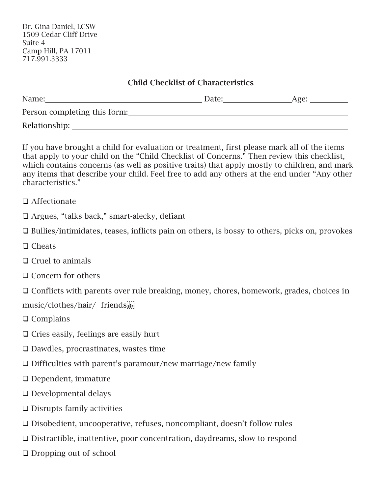## Child Checklist of Characteristics

| Name:                        | Date: | Age: |
|------------------------------|-------|------|
| Person completing this form: |       |      |
| Relationship:                |       |      |

If you have brought a child for evaluation or treatment, first please mark all of the items that apply to your child on the "Child Checklist of Concerns." Then review this checklist, which contains concerns (as well as positive traits) that apply mostly to children, and mark any items that describe your child. Feel free to add any others at the end under "Any other characteristics."

- ❑ Affectionate
- ❑ Argues, "talks back," smart-alecky, defiant
- ❑ Bullies/intimidates, teases, inflicts pain on others, is bossy to others, picks on, provokes
- ❑ Cheats
- ❑ Cruel to animals
- ❑ Concern for others

❑ Conflicts with parents over rule breaking, money, chores, homework, grades, choices in

music/clothes/hair/ friends

- ❑ Complains
- ❑ Cries easily, feelings are easily hurt
- ❑ Dawdles, procrastinates, wastes time
- ❑ Difficulties with parent's paramour/new marriage/new family
- ❑ Dependent, immature
- ❑ Developmental delays
- ❑ Disrupts family activities
- ❑ Disobedient, uncooperative, refuses, noncompliant, doesn't follow rules
- ❑ Distractible, inattentive, poor concentration, daydreams, slow to respond
- ❑ Dropping out of school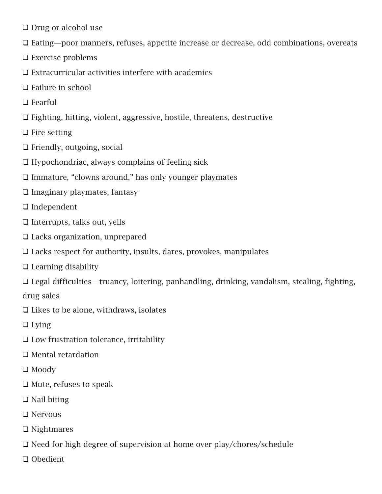- ❑ Drug or alcohol use
- ❑ Eating—poor manners, refuses, appetite increase or decrease, odd combinations, overeats
- ❑ Exercise problems
- ❑ Extracurricular activities interfere with academics
- ❑ Failure in school
- ❑ Fearful
- ❑ Fighting, hitting, violent, aggressive, hostile, threatens, destructive
- ❑ Fire setting
- ❑ Friendly, outgoing, social
- ❑ Hypochondriac, always complains of feeling sick
- ❑ Immature, "clowns around," has only younger playmates
- ❑ Imaginary playmates, fantasy
- ❑ Independent
- ❑ Interrupts, talks out, yells
- ❑ Lacks organization, unprepared
- ❑ Lacks respect for authority, insults, dares, provokes, manipulates
- ❑ Learning disability
- ❑ Legal difficulties—truancy, loitering, panhandling, drinking, vandalism, stealing, fighting, drug sales
- ❑ Likes to be alone, withdraws, isolates
- ❑ Lying
- ❑ Low frustration tolerance, irritability
- ❑ Mental retardation
- ❑ Moody
- ❑ Mute, refuses to speak
- ❑ Nail biting
- ❑ Nervous
- ❑ Nightmares
- ❑ Need for high degree of supervision at home over play/chores/schedule
- ❑ Obedient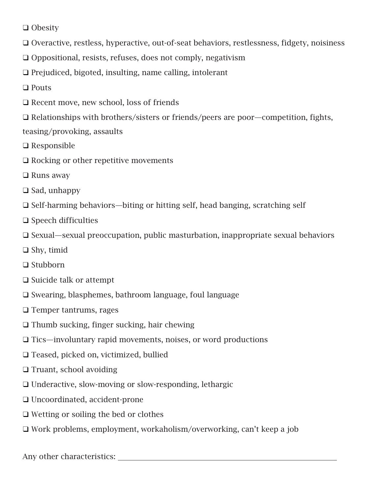❑ Obesity

- ❑ Overactive, restless, hyperactive, out-of-seat behaviors, restlessness, fidgety, noisiness
- ❑ Oppositional, resists, refuses, does not comply, negativism
- ❑ Prejudiced, bigoted, insulting, name calling, intolerant

❑ Pouts

❑ Recent move, new school, loss of friends

❑ Relationships with brothers/sisters or friends/peers are poor—competition, fights, teasing/provoking, assaults

- ❑ Responsible
- ❑ Rocking or other repetitive movements
- ❑ Runs away
- ❑ Sad, unhappy
- ❑ Self-harming behaviors—biting or hitting self, head banging, scratching self
- ❑ Speech difficulties
- ❑ Sexual—sexual preoccupation, public masturbation, inappropriate sexual behaviors
- ❑ Shy, timid
- ❑ Stubborn
- ❑ Suicide talk or attempt
- ❑ Swearing, blasphemes, bathroom language, foul language
- ❑ Temper tantrums, rages
- ❑ Thumb sucking, finger sucking, hair chewing
- ❑ Tics—involuntary rapid movements, noises, or word productions
- ❑ Teased, picked on, victimized, bullied
- ❑ Truant, school avoiding
- ❑ Underactive, slow-moving or slow-responding, lethargic
- ❑ Uncoordinated, accident-prone
- ❑ Wetting or soiling the bed or clothes
- ❑ Work problems, employment, workaholism/overworking, can't keep a job

Any other characteristics: